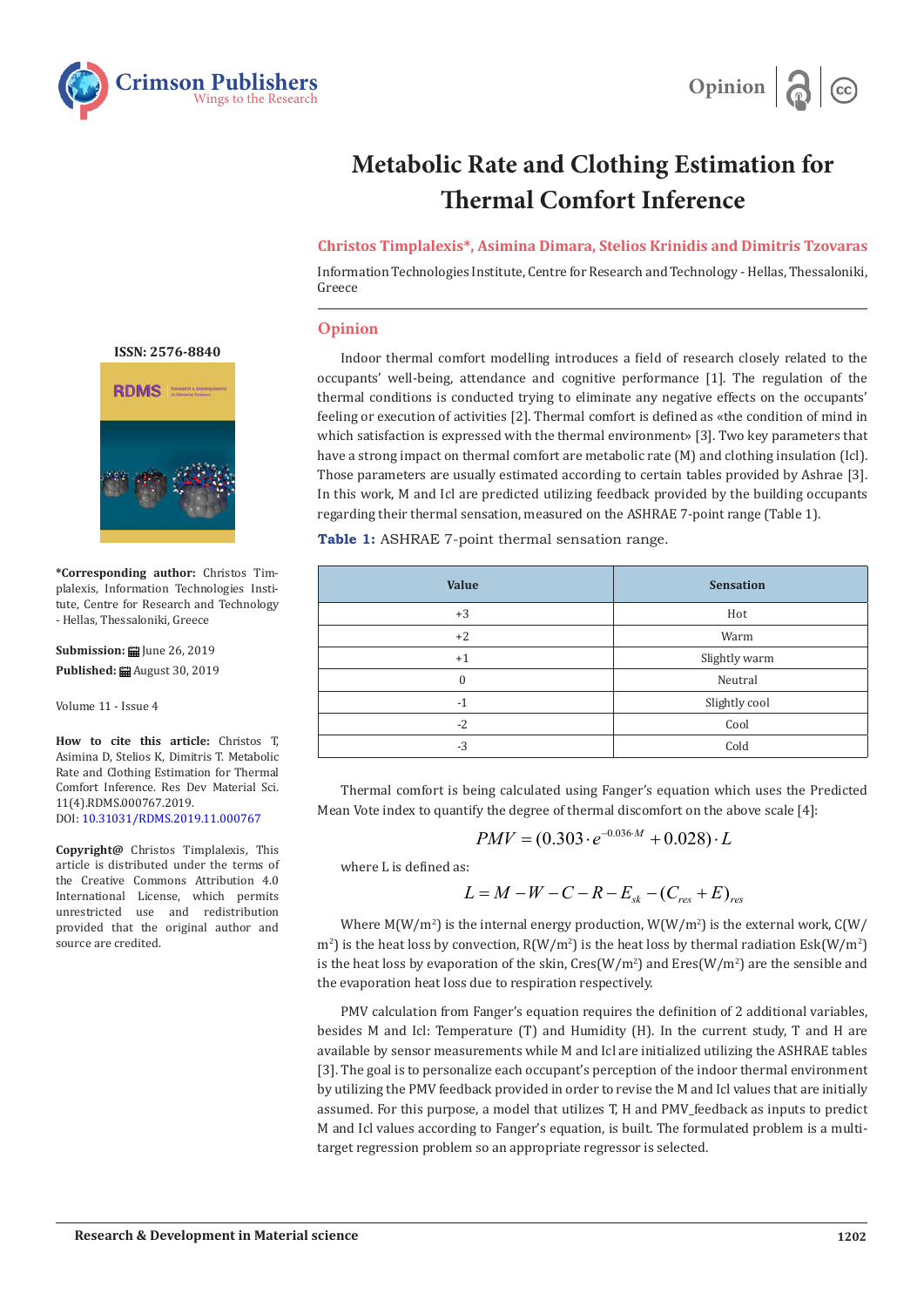



# **Metabolic Rate and Clothing Estimation for Thermal Comfort Inference**

# **Christos Timplalexis\*, Asimina Dimara, Stelios Krinidis and Dimitris Tzovaras**

Information Technologies Institute, Centre for Research and Technology - Hellas, Thessaloniki, Greece

## **Opinion**

Indoor thermal comfort modelling introduces a field of research closely related to the occupants' well-being, attendance and cognitive performance [1]. The regulation of the thermal conditions is conducted trying to eliminate any negative effects on the occupants' feeling or execution of activities [2]. Thermal comfort is defined as «the condition of mind in which satisfaction is expressed with the thermal environment» [3]. Two key parameters that have a strong impact on thermal comfort are metabolic rate (M) and clothing insulation (Icl). Those parameters are usually estimated according to certain tables provided by Ashrae [3]. In this work, M and Icl are predicted utilizing feedback provided by the building occupants regarding their thermal sensation, measured on the ASHRAE 7-point range (Table 1).

**Table 1:** ASHRAE 7-point thermal sensation range.

| <b>Value</b> | <b>Sensation</b> |  |
|--------------|------------------|--|
| $+3$         | Hot              |  |
| $+2$         | Warm             |  |
| $+1$         | Slightly warm    |  |
| $\Omega$     | Neutral          |  |
| $-1$         | Slightly cool    |  |
| $-2$         | Cool             |  |
| $-3$         | Cold             |  |

Thermal comfort is being calculated using Fanger's equation which uses the Predicted Mean Vote index to quantify the degree of thermal discomfort on the above scale [4]:

$$
PMV = (0.303 \cdot e^{-0.036 \cdot M} + 0.028) \cdot L
$$

where L is defined as:

$$
L = M - W - C - R - E_{sk} - (C_{res} + E)_{res}
$$

Where  $M(W/m^2)$  is the internal energy production,  $W(W/m^2)$  is the external work,  $\mathsf{C}(W/m^2)$  $\text{m}^2$ ) is the heat loss by convection, R(W/m<sup>2</sup>) is the heat loss by thermal radiation Esk(W/m<sup>2</sup>) is the heat loss by evaporation of the skin,  $Cres(W/m^2)$  and  $Eres(W/m^2)$  are the sensible and the evaporation heat loss due to respiration respectively.

PMV calculation from Fanger's equation requires the definition of 2 additional variables, besides M and Icl: Temperature (T) and Humidity (H). In the current study, T and H are available by sensor measurements while M and Icl are initialized utilizing the ASHRAE tables [3]. The goal is to personalize each occupant's perception of the indoor thermal environment by utilizing the PMV feedback provided in order to revise the M and Icl values that are initially assumed. For this purpose, a model that utilizes T, H and PMV\_feedback as inputs to predict M and Icl values according to Fanger's equation, is built. The formulated problem is a multitarget regression problem so an appropriate regressor is selected.

**ISSN: 2576-8840**



**\*Corresponding author:** Christos Timplalexis, Information Technologies Institute, Centre for Research and Technology - Hellas, Thessaloniki, Greece

**Submission: iii** June 26, 2019 **Published:** August 30, 2019

Volume 11 - Issue 4

**How to cite this article:** Christos T, Asimina D, Stelios K, Dimitris T. Metabolic Rate and Clothing Estimation for Thermal Comfort Inference. Res Dev Material Sci. 11(4).RDMS.000767.2019. DOI: 10.31031/RDMS.2019.11.000767

**Copyright@** Christos Timplalexis, This article is distributed under the terms of the Creative Commons Attribution 4.0 International License, which permits unrestricted use and redistribution provided that the original author and source are credited.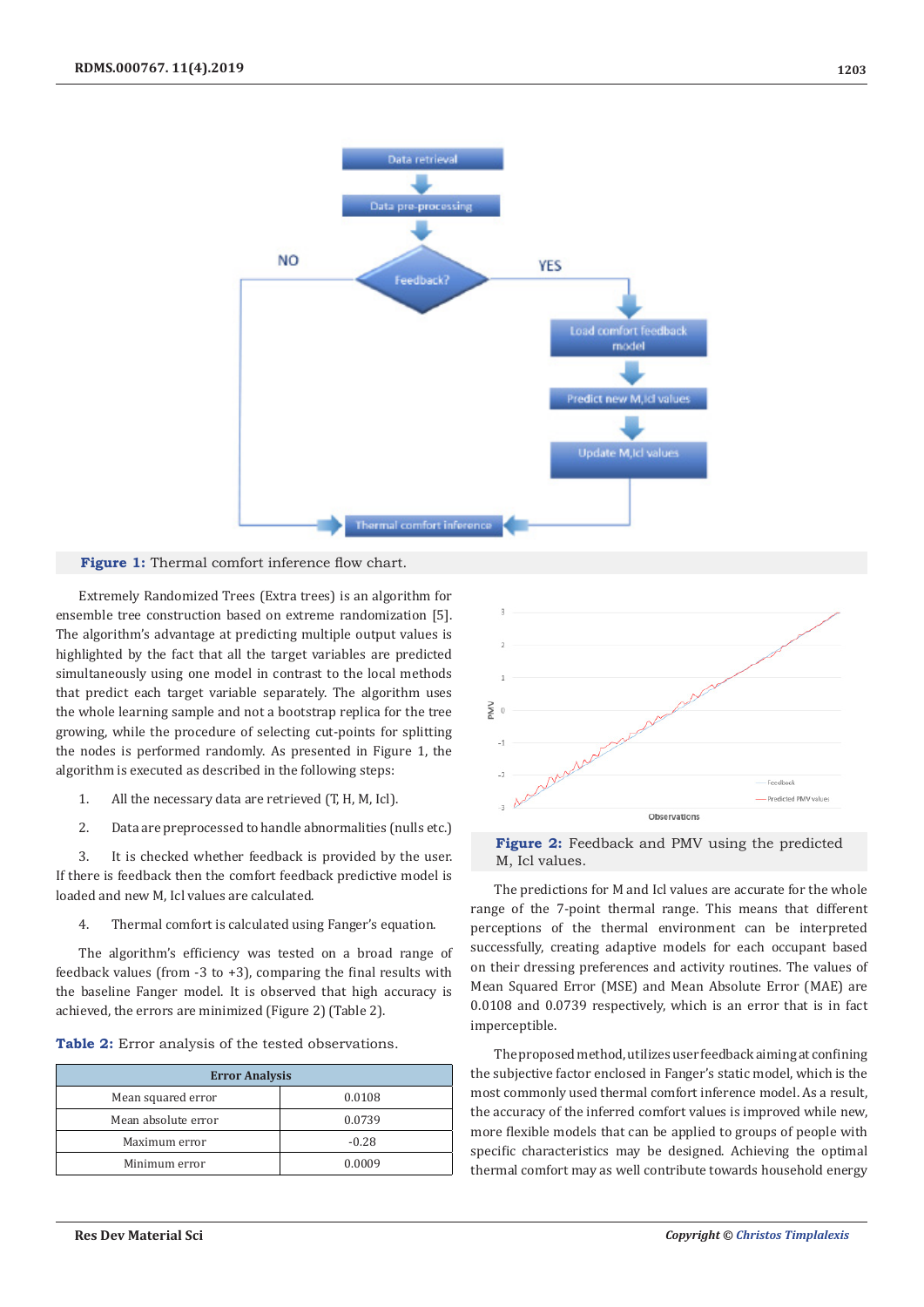

#### Figure 1: Thermal comfort inference flow chart.

Extremely Randomized Trees (Extra trees) is an algorithm for ensemble tree construction based on extreme randomization [5]. The algorithm's advantage at predicting multiple output values is highlighted by the fact that all the target variables are predicted simultaneously using one model in contrast to the local methods that predict each target variable separately. The algorithm uses the whole learning sample and not a bootstrap replica for the tree growing, while the procedure of selecting cut-points for splitting the nodes is performed randomly. As presented in Figure 1, the algorithm is executed as described in the following steps:

- 1. All the necessary data are retrieved (T, H, M, Icl).
- 2. Data are preprocessed to handle abnormalities (nulls etc.)

3. It is checked whether feedback is provided by the user. If there is feedback then the comfort feedback predictive model is loaded and new M, Icl values are calculated.

4. Thermal comfort is calculated using Fanger's equation.

The algorithm's efficiency was tested on a broad range of feedback values (from  $-3$  to  $+3$ ), comparing the final results with the baseline Fanger model. It is observed that high accuracy is achieved, the errors are minimized (Figure 2) (Table 2).

| Table 2: Error analysis of the tested observations. |  |  |  |  |
|-----------------------------------------------------|--|--|--|--|
|-----------------------------------------------------|--|--|--|--|

| <b>Error Analysis</b> |         |  |  |  |
|-----------------------|---------|--|--|--|
| Mean squared error    | 0.0108  |  |  |  |
| Mean absolute error   | 0.0739  |  |  |  |
| Maximum error         | $-0.28$ |  |  |  |
| Minimum error         | 0.0009  |  |  |  |





The predictions for M and Icl values are accurate for the whole range of the 7-point thermal range. This means that different perceptions of the thermal environment can be interpreted successfully, creating adaptive models for each occupant based on their dressing preferences and activity routines. The values of Mean Squared Error (MSE) and Mean Absolute Error (MAE) are 0.0108 and 0.0739 respectively, which is an error that is in fact imperceptible.

The proposed method, utilizes user feedback aiming at confining the subjective factor enclosed in Fanger's static model, which is the most commonly used thermal comfort inference model. As a result, the accuracy of the inferred comfort values is improved while new, more flexible models that can be applied to groups of people with specific characteristics may be designed. Achieving the optimal thermal comfort may as well contribute towards household energy